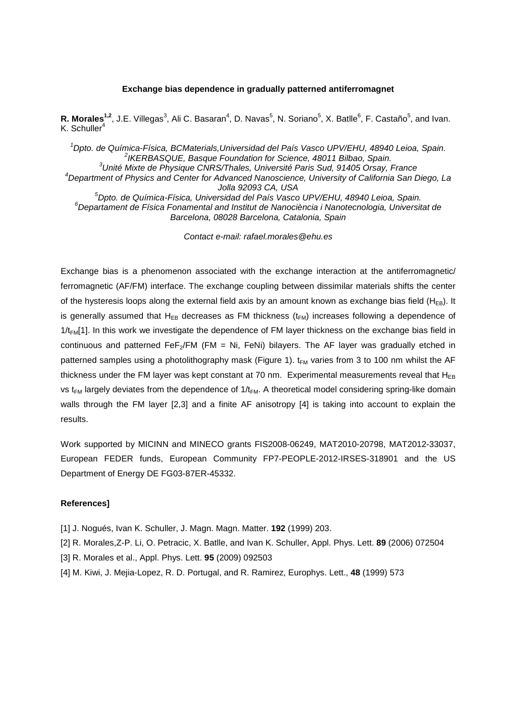## **Exchange bias dependence in gradually patterned antiferromagnet**

R. Morales<sup>1,2</sup>, J.E. Villegas<sup>3</sup>, Ali C. Basaran<sup>4</sup>, D. Navas<sup>5</sup>, N. Soriano<sup>5</sup>, X. Batlle<sup>6</sup>, F. Castaño<sup>5</sup>, and Ivan.  $K$ . Schuller<sup>4</sup>

<sup>1</sup>Dpto. de Química-Física, BCMaterials,Universidad del País Vasco UPV/EHU, 48940 Leioa, Spain. <sup>2</sup>IKERBASQUE, Basque Foundation for Science, 48011 Bilbao, Spain.  $3$ Unité Mixte de Physique CNRS/Thales, Université Paris Sud, 91405 Orsay, France <sup>4</sup>Department of Physics and Center for Advanced Nanoscience, University of California San Diego, La Jolla 92093 CA, USA <sup>5</sup>Dpto. de Química-Física, Universidad del País Vasco UPV/EHU, 48940 Leioa, Spain. <sup>6</sup>Departament de Física Fonamental and Institut de Nanociència i Nanotecnologia, Universitat de Barcelona, 08028 Barcelona, Catalonia, Spain

Contact e-mail: rafael.morales@ehu.es

Exchange bias is a phenomenon associated with the exchange interaction at the antiferromagnetic/ ferromagnetic (AF/FM) interface. The exchange coupling between dissimilar materials shifts the center of the hysteresis loops along the external field axis by an amount known as exchange bias field ( $H_{FB}$ ). It is generally assumed that  $H_{FB}$  decreases as FM thickness ( $t_{FM}$ ) increases following a dependence of 1/t<sub>FM</sub>[1]. In this work we investigate the dependence of FM layer thickness on the exchange bias field in continuous and patterned  $Fe<sub>2</sub>/FM$  (FM = Ni, FeNi) bilayers. The AF layer was gradually etched in patterned samples using a photolithography mask (Figure 1).  $t_{FM}$  varies from 3 to 100 nm whilst the AF thickness under the FM layer was kept constant at 70 nm. Experimental measurements reveal that  $H_{FR}$ vs t<sub>FM</sub> largely deviates from the dependence of  $1/t_{FM}$ . A theoretical model considering spring-like domain walls through the FM layer [2,3] and a finite AF anisotropy [4] is taking into account to explain the results.

Work supported by MICINN and MINECO grants FIS2008-06249, MAT2010-20798, MAT2012-33037, European FEDER funds, European Community FP7-PEOPLE-2012-IRSES-318901 and the US Department of Energy DE FG03-87ER-45332.

## **References]**

- [1] J. Nogués, Ivan K. Schuller, J. Magn. Magn. Matter. **192** (1999) 203.
- [2] R. Morales,Z-P. Li, O. Petracic, X. Batlle, and Ivan K. Schuller, Appl. Phys. Lett. **89** (2006) 072504
- [3] R. Morales et al., Appl. Phys. Lett. **95** (2009) 092503
- [4] M. Kiwi, J. Mejia-Lopez, R. D. Portugal, and R. Ramirez, Europhys. Lett., **48** (1999) 573